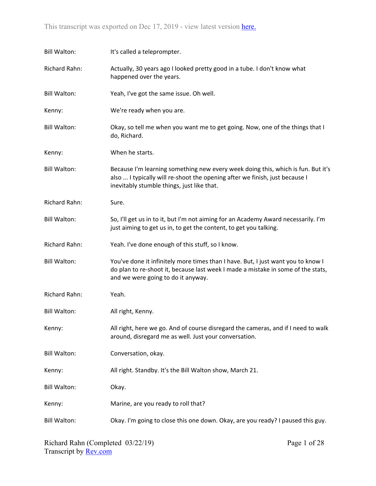| <b>Bill Walton:</b> | It's called a teleprompter.                                                                                                                                                                                   |
|---------------------|---------------------------------------------------------------------------------------------------------------------------------------------------------------------------------------------------------------|
| Richard Rahn:       | Actually, 30 years ago I looked pretty good in a tube. I don't know what<br>happened over the years.                                                                                                          |
| <b>Bill Walton:</b> | Yeah, I've got the same issue. Oh well.                                                                                                                                                                       |
| Kenny:              | We're ready when you are.                                                                                                                                                                                     |
| <b>Bill Walton:</b> | Okay, so tell me when you want me to get going. Now, one of the things that I<br>do, Richard.                                                                                                                 |
| Kenny:              | When he starts.                                                                                                                                                                                               |
| <b>Bill Walton:</b> | Because I'm learning something new every week doing this, which is fun. But it's<br>also  I typically will re-shoot the opening after we finish, just because I<br>inevitably stumble things, just like that. |
| Richard Rahn:       | Sure.                                                                                                                                                                                                         |
| <b>Bill Walton:</b> | So, I'll get us in to it, but I'm not aiming for an Academy Award necessarily. I'm<br>just aiming to get us in, to get the content, to get you talking.                                                       |
| Richard Rahn:       | Yeah. I've done enough of this stuff, so I know.                                                                                                                                                              |
| <b>Bill Walton:</b> | You've done it infinitely more times than I have. But, I just want you to know I<br>do plan to re-shoot it, because last week I made a mistake in some of the stats,<br>and we were going to do it anyway.    |
| Richard Rahn:       | Yeah.                                                                                                                                                                                                         |
| <b>Bill Walton:</b> | All right, Kenny.                                                                                                                                                                                             |
| Kenny:              | All right, here we go. And of course disregard the cameras, and if I need to walk<br>around, disregard me as well. Just your conversation.                                                                    |
| <b>Bill Walton:</b> | Conversation, okay.                                                                                                                                                                                           |
| Kenny:              | All right. Standby. It's the Bill Walton show, March 21.                                                                                                                                                      |
| <b>Bill Walton:</b> | Okay.                                                                                                                                                                                                         |
| Kenny:              | Marine, are you ready to roll that?                                                                                                                                                                           |
| <b>Bill Walton:</b> | Okay. I'm going to close this one down. Okay, are you ready? I paused this guy.                                                                                                                               |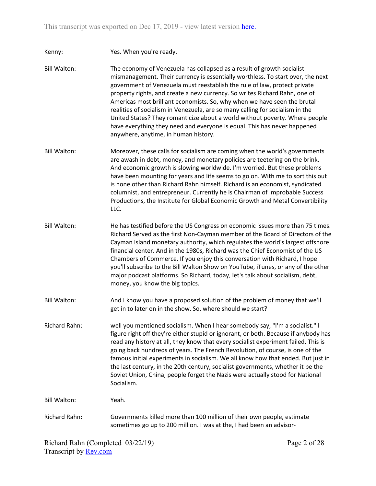Kenny: Yes. When you're ready.

Bill Walton: The economy of Venezuela has collapsed as a result of growth socialist mismanagement. Their currency is essentially worthless. To start over, the next government of Venezuela must reestablish the rule of law, protect private property rights, and create a new currency. So writes Richard Rahn, one of Americas most brilliant economists. So, why when we have seen the brutal realities of socialism in Venezuela, are so many calling for socialism in the United States? They romanticize about a world without poverty. Where people have everything they need and everyone is equal. This has never happened anywhere, anytime, in human history.

- Bill Walton: Moreover, these calls for socialism are coming when the world's governments are awash in debt, money, and monetary policies are teetering on the brink. And economic growth is slowing worldwide. I'm worried. But these problems have been mounting for years and life seems to go on. With me to sort this out is none other than Richard Rahn himself. Richard is an economist, syndicated columnist, and entrepreneur. Currently he is Chairman of Improbable Success Productions, the Institute for Global Economic Growth and Metal Convertibility LLC.
- Bill Walton: He has testified before the US Congress on economic issues more than 75 times. Richard Served as the first Non-Cayman member of the Board of Directors of the Cayman Island monetary authority, which regulates the world's largest offshore financial center. And in the 1980s, Richard was the Chief Economist of the US Chambers of Commerce. If you enjoy this conversation with Richard, I hope you'll subscribe to the Bill Walton Show on YouTube, iTunes, or any of the other major podcast platforms. So Richard, today, let's talk about socialism, debt, money, you know the big topics.
- Bill Walton: And I know you have a proposed solution of the problem of money that we'll get in to later on in the show. So, where should we start?
- Richard Rahn: well you mentioned socialism. When I hear somebody say, "I'm a socialist." I figure right off they're either stupid or ignorant, or both. Because if anybody has read any history at all, they know that every socialist experiment failed. This is going back hundreds of years. The French Revolution, of course, is one of the famous initial experiments in socialism. We all know how that ended. But just in the last century, in the 20th century, socialist governments, whether it be the Soviet Union, China, people forget the Nazis were actually stood for National Socialism.

Bill Walton: Yeah.

Richard Rahn: Governments killed more than 100 million of their own people, estimate sometimes go up to 200 million. I was at the, I had been an advisor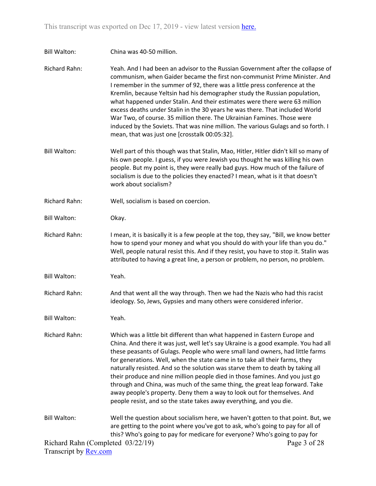Bill Walton: China was 40-50 million.

Richard Rahn: Yeah. And I had been an advisor to the Russian Government after the collapse of communism, when Gaider became the first non-communist Prime Minister. And I remember in the summer of 92, there was a little press conference at the Kremlin, because Yeltsin had his demographer study the Russian population, what happened under Stalin. And their estimates were there were 63 million excess deaths under Stalin in the 30 years he was there. That included World War Two, of course. 35 million there. The Ukrainian Famines. Those were induced by the Soviets. That was nine million. The various Gulags and so forth. I mean, that was just one [crosstalk 00:05:32].

- Bill Walton: Well part of this though was that Stalin, Mao, Hitler, Hitler didn't kill so many of his own people. I guess, if you were Jewish you thought he was killing his own people. But my point is, they were really bad guys. How much of the failure of socialism is due to the policies they enacted? I mean, what is it that doesn't work about socialism?
- Richard Rahn: Well, socialism is based on coercion.
- Bill Walton: Okay.
- Richard Rahn: I mean, it is basically it is a few people at the top, they say, "Bill, we know better how to spend your money and what you should do with your life than you do." Well, people natural resist this. And if they resist, you have to stop it. Stalin was attributed to having a great line, a person or problem, no person, no problem.
- Bill Walton: Yeah.
- Richard Rahn: And that went all the way through. Then we had the Nazis who had this racist ideology. So, Jews, Gypsies and many others were considered inferior.
- Bill Walton: Yeah.

Richard Rahn: Which was a little bit different than what happened in Eastern Europe and China. And there it was just, well let's say Ukraine is a good example. You had all these peasants of Gulags. People who were small land owners, had little farms for generations. Well, when the state came in to take all their farms, they naturally resisted. And so the solution was starve them to death by taking all their produce and nine million people died in those famines. And you just go through and China, was much of the same thing, the great leap forward. Take away people's property. Deny them a way to look out for themselves. And people resist, and so the state takes away everything, and you die.

Richard Rahn (Completed 03/22/19) Bill Walton: Well the question about socialism here, we haven't gotten to that point. But, we are getting to the point where you've got to ask, who's going to pay for all of this? Who's going to pay for medicare for everyone? Who's going to pay for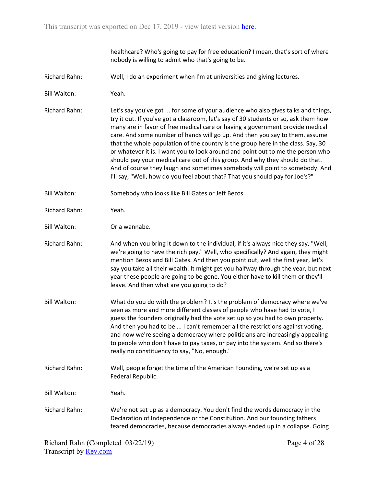healthcare? Who's going to pay for free education? I mean, that's sort of where nobody is willing to admit who that's going to be.

- Richard Rahn: Well, I do an experiment when I'm at universities and giving lectures.
- Bill Walton: Yeah.
- Richard Rahn: Let's say you've got ... for some of your audience who also gives talks and things, try it out. If you've got a classroom, let's say of 30 students or so, ask them how many are in favor of free medical care or having a government provide medical care. And some number of hands will go up. And then you say to them, assume that the whole population of the country is the group here in the class. Say, 30 or whatever it is. I want you to look around and point out to me the person who should pay your medical care out of this group. And why they should do that. And of course they laugh and sometimes somebody will point to somebody. And I'll say, "Well, how do you feel about that? That you should pay for Joe's?"
- Bill Walton: Somebody who looks like Bill Gates or Jeff Bezos.
- Richard Rahn: Yeah.
- Bill Walton: Or a wannabe.
- Richard Rahn: And when you bring it down to the individual, if it's always nice they say, "Well, we're going to have the rich pay." Well, who specifically? And again, they might mention Bezos and Bill Gates. And then you point out, well the first year, let's say you take all their wealth. It might get you halfway through the year, but next year these people are going to be gone. You either have to kill them or they'll leave. And then what are you going to do?
- Bill Walton: What do you do with the problem? It's the problem of democracy where we've seen as more and more different classes of people who have had to vote, I guess the founders originally had the vote set up so you had to own property. And then you had to be ... I can't remember all the restrictions against voting, and now we're seeing a democracy where politicians are increasingly appealing to people who don't have to pay taxes, or pay into the system. And so there's really no constituency to say, "No, enough."
- Richard Rahn: Well, people forget the time of the American Founding, we're set up as a Federal Republic.

Bill Walton: Yeah.

Richard Rahn: We're not set up as a democracy. You don't find the words democracy in the Declaration of Independence or the Constitution. And our founding fathers feared democracies, because democracies always ended up in a collapse. Going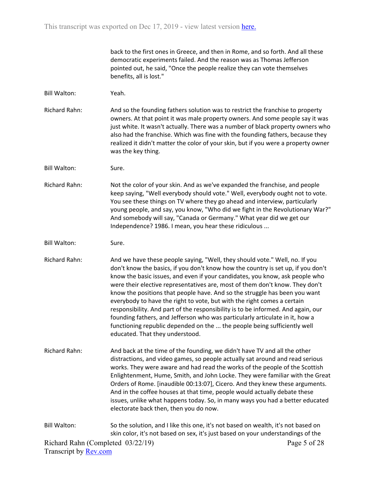back to the first ones in Greece, and then in Rome, and so forth. And all these democratic experiments failed. And the reason was as Thomas Jefferson pointed out, he said, "Once the people realize they can vote themselves benefits, all is lost."

- Bill Walton: Yeah.
- Richard Rahn: And so the founding fathers solution was to restrict the franchise to property owners. At that point it was male property owners. And some people say it was just white. It wasn't actually. There was a number of black property owners who also had the franchise. Which was fine with the founding fathers, because they realized it didn't matter the color of your skin, but if you were a property owner was the key thing.
- Bill Walton: Sure.
- Richard Rahn: Not the color of your skin. And as we've expanded the franchise, and people keep saying, "Well everybody should vote." Well, everybody ought not to vote. You see these things on TV where they go ahead and interview, particularly young people, and say, you know, "Who did we fight in the Revolutionary War?" And somebody will say, "Canada or Germany." What year did we get our Independence? 1986. I mean, you hear these ridiculous ...
- Bill Walton: Sure.
- Richard Rahn: And we have these people saying, "Well, they should vote." Well, no. If you don't know the basics, if you don't know how the country is set up, if you don't know the basic issues, and even if your candidates, you know, ask people who were their elective representatives are, most of them don't know. They don't know the positions that people have. And so the struggle has been you want everybody to have the right to vote, but with the right comes a certain responsibility. And part of the responsibility is to be informed. And again, our founding fathers, and Jefferson who was particularly articulate in it, how a functioning republic depended on the ... the people being sufficiently well educated. That they understood.
- Richard Rahn: And back at the time of the founding, we didn't have TV and all the other distractions, and video games, so people actually sat around and read serious works. They were aware and had read the works of the people of the Scottish Enlightenment, Hume, Smith, and John Locke. They were familiar with the Great Orders of Rome. [inaudible 00:13:07], Cicero. And they knew these arguments. And in the coffee houses at that time, people would actually debate these issues, unlike what happens today. So, in many ways you had a better educated electorate back then, then you do now.

Richard Rahn (Completed 03/22/19) Transcript by [Rev.com](https://www.rev.com/) Page 5 of 28 Bill Walton: So the solution, and I like this one, it's not based on wealth, it's not based on skin color, it's not based on sex, it's just based on your understandings of the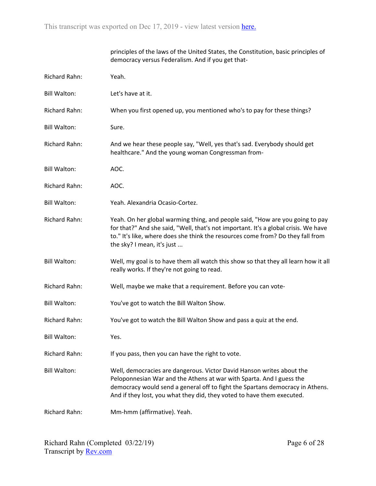|                      | principles of the laws of the United States, the Constitution, basic principles of<br>democracy versus Federalism. And if you get that-                                                                                                                                                                  |
|----------------------|----------------------------------------------------------------------------------------------------------------------------------------------------------------------------------------------------------------------------------------------------------------------------------------------------------|
| <b>Richard Rahn:</b> | Yeah.                                                                                                                                                                                                                                                                                                    |
| <b>Bill Walton:</b>  | Let's have at it.                                                                                                                                                                                                                                                                                        |
| <b>Richard Rahn:</b> | When you first opened up, you mentioned who's to pay for these things?                                                                                                                                                                                                                                   |
| <b>Bill Walton:</b>  | Sure.                                                                                                                                                                                                                                                                                                    |
| Richard Rahn:        | And we hear these people say, "Well, yes that's sad. Everybody should get<br>healthcare." And the young woman Congressman from-                                                                                                                                                                          |
| <b>Bill Walton:</b>  | AOC.                                                                                                                                                                                                                                                                                                     |
| <b>Richard Rahn:</b> | AOC.                                                                                                                                                                                                                                                                                                     |
| <b>Bill Walton:</b>  | Yeah. Alexandria Ocasio-Cortez.                                                                                                                                                                                                                                                                          |
| <b>Richard Rahn:</b> | Yeah. On her global warming thing, and people said, "How are you going to pay<br>for that?" And she said, "Well, that's not important. It's a global crisis. We have<br>to." It's like, where does she think the resources come from? Do they fall from<br>the sky? I mean, it's just                    |
| <b>Bill Walton:</b>  | Well, my goal is to have them all watch this show so that they all learn how it all<br>really works. If they're not going to read.                                                                                                                                                                       |
| Richard Rahn:        | Well, maybe we make that a requirement. Before you can vote-                                                                                                                                                                                                                                             |
| <b>Bill Walton:</b>  | You've got to watch the Bill Walton Show.                                                                                                                                                                                                                                                                |
| Richard Rahn:        | You've got to watch the Bill Walton Show and pass a quiz at the end.                                                                                                                                                                                                                                     |
| <b>Bill Walton:</b>  | Yes.                                                                                                                                                                                                                                                                                                     |
| Richard Rahn:        | If you pass, then you can have the right to vote.                                                                                                                                                                                                                                                        |
| <b>Bill Walton:</b>  | Well, democracies are dangerous. Victor David Hanson writes about the<br>Peloponnesian War and the Athens at war with Sparta. And I guess the<br>democracy would send a general off to fight the Spartans democracy in Athens.<br>And if they lost, you what they did, they voted to have them executed. |
| <b>Richard Rahn:</b> | Mm-hmm (affirmative). Yeah.                                                                                                                                                                                                                                                                              |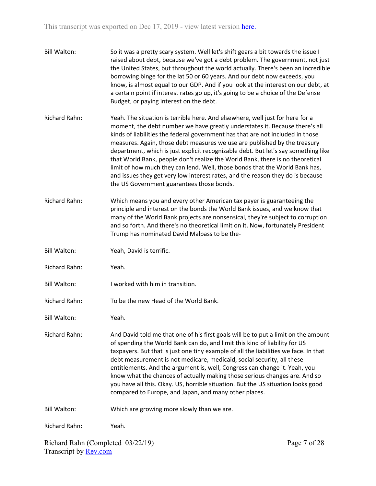| <b>Bill Walton:</b>  | So it was a pretty scary system. Well let's shift gears a bit towards the issue I<br>raised about debt, because we've got a debt problem. The government, not just<br>the United States, but throughout the world actually. There's been an incredible<br>borrowing binge for the lat 50 or 60 years. And our debt now exceeds, you<br>know, is almost equal to our GDP. And if you look at the interest on our debt, at<br>a certain point if interest rates go up, it's going to be a choice of the Defense<br>Budget, or paying interest on the debt.                                                                                                                                                         |
|----------------------|------------------------------------------------------------------------------------------------------------------------------------------------------------------------------------------------------------------------------------------------------------------------------------------------------------------------------------------------------------------------------------------------------------------------------------------------------------------------------------------------------------------------------------------------------------------------------------------------------------------------------------------------------------------------------------------------------------------|
| Richard Rahn:        | Yeah. The situation is terrible here. And elsewhere, well just for here for a<br>moment, the debt number we have greatly understates it. Because there's all<br>kinds of liabilities the federal government has that are not included in those<br>measures. Again, those debt measures we use are published by the treasury<br>department, which is just explicit recognizable debt. But let's say something like<br>that World Bank, people don't realize the World Bank, there is no theoretical<br>limit of how much they can lend. Well, those bonds that the World Bank has,<br>and issues they get very low interest rates, and the reason they do is because<br>the US Government guarantees those bonds. |
| Richard Rahn:        | Which means you and every other American tax payer is guaranteeing the<br>principle and interest on the bonds the World Bank issues, and we know that<br>many of the World Bank projects are nonsensical, they're subject to corruption<br>and so forth. And there's no theoretical limit on it. Now, fortunately President<br>Trump has nominated David Malpass to be the-                                                                                                                                                                                                                                                                                                                                      |
| <b>Bill Walton:</b>  | Yeah, David is terrific.                                                                                                                                                                                                                                                                                                                                                                                                                                                                                                                                                                                                                                                                                         |
| Richard Rahn:        | Yeah.                                                                                                                                                                                                                                                                                                                                                                                                                                                                                                                                                                                                                                                                                                            |
| <b>Bill Walton:</b>  | I worked with him in transition.                                                                                                                                                                                                                                                                                                                                                                                                                                                                                                                                                                                                                                                                                 |
| Richard Rahn:        | To be the new Head of the World Bank.                                                                                                                                                                                                                                                                                                                                                                                                                                                                                                                                                                                                                                                                            |
| <b>Bill Walton:</b>  | Yeah.                                                                                                                                                                                                                                                                                                                                                                                                                                                                                                                                                                                                                                                                                                            |
| <b>Richard Rahn:</b> | And David told me that one of his first goals will be to put a limit on the amount<br>of spending the World Bank can do, and limit this kind of liability for US<br>taxpayers. But that is just one tiny example of all the liabilities we face. In that<br>debt measurement is not medicare, medicaid, social security, all these<br>entitlements. And the argument is, well, Congress can change it. Yeah, you<br>know what the chances of actually making those serious changes are. And so<br>you have all this. Okay. US, horrible situation. But the US situation looks good<br>compared to Europe, and Japan, and many other places.                                                                      |
| <b>Bill Walton:</b>  | Which are growing more slowly than we are.                                                                                                                                                                                                                                                                                                                                                                                                                                                                                                                                                                                                                                                                       |
| Richard Rahn:        | Yeah.                                                                                                                                                                                                                                                                                                                                                                                                                                                                                                                                                                                                                                                                                                            |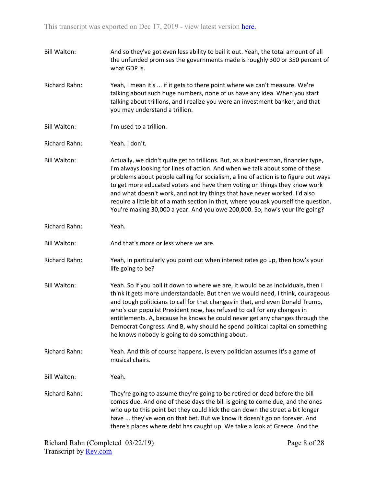| <b>Bill Walton:</b>  | And so they've got even less ability to bail it out. Yeah, the total amount of all<br>the unfunded promises the governments made is roughly 300 or 350 percent of<br>what GDP is.                                                                                                                                                                                                                                                                                                                                                                                                            |
|----------------------|----------------------------------------------------------------------------------------------------------------------------------------------------------------------------------------------------------------------------------------------------------------------------------------------------------------------------------------------------------------------------------------------------------------------------------------------------------------------------------------------------------------------------------------------------------------------------------------------|
| <b>Richard Rahn:</b> | Yeah, I mean it's  if it gets to there point where we can't measure. We're<br>talking about such huge numbers, none of us have any idea. When you start<br>talking about trillions, and I realize you were an investment banker, and that<br>you may understand a trillion.                                                                                                                                                                                                                                                                                                                  |
| <b>Bill Walton:</b>  | I'm used to a trillion.                                                                                                                                                                                                                                                                                                                                                                                                                                                                                                                                                                      |
| Richard Rahn:        | Yeah. I don't.                                                                                                                                                                                                                                                                                                                                                                                                                                                                                                                                                                               |
| <b>Bill Walton:</b>  | Actually, we didn't quite get to trillions. But, as a businessman, financier type,<br>I'm always looking for lines of action. And when we talk about some of these<br>problems about people calling for socialism, a line of action is to figure out ways<br>to get more educated voters and have them voting on things they know work<br>and what doesn't work, and not try things that have never worked. I'd also<br>require a little bit of a math section in that, where you ask yourself the question.<br>You're making 30,000 a year. And you owe 200,000. So, how's your life going? |
| Richard Rahn:        | Yeah.                                                                                                                                                                                                                                                                                                                                                                                                                                                                                                                                                                                        |
| <b>Bill Walton:</b>  | And that's more or less where we are.                                                                                                                                                                                                                                                                                                                                                                                                                                                                                                                                                        |
| Richard Rahn:        | Yeah, in particularly you point out when interest rates go up, then how's your<br>life going to be?                                                                                                                                                                                                                                                                                                                                                                                                                                                                                          |
| <b>Bill Walton:</b>  | Yeah. So if you boil it down to where we are, it would be as individuals, then I<br>think it gets more understandable. But then we would need, I think, courageous<br>and tough politicians to call for that changes in that, and even Donald Trump,<br>who's our populist President now, has refused to call for any changes in<br>entitlements. A, because he knows he could never get any changes through the<br>Democrat Congress. And B, why should he spend political capital on something<br>he knows nobody is going to do something about.                                          |
| Richard Rahn:        | Yeah. And this of course happens, is every politician assumes it's a game of<br>musical chairs.                                                                                                                                                                                                                                                                                                                                                                                                                                                                                              |
| <b>Bill Walton:</b>  | Yeah.                                                                                                                                                                                                                                                                                                                                                                                                                                                                                                                                                                                        |
| Richard Rahn:        | They're going to assume they're going to be retired or dead before the bill<br>comes due. And one of these days the bill is going to come due, and the ones<br>who up to this point bet they could kick the can down the street a bit longer<br>have  they've won on that bet. But we know it doesn't go on forever. And<br>there's places where debt has caught up. We take a look at Greece. And the                                                                                                                                                                                       |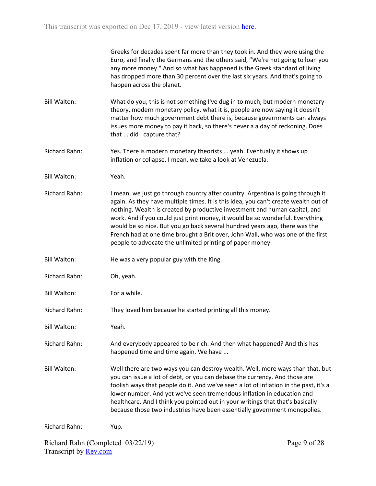| Greeks for decades spent far more than they took in. And they were using the    |  |
|---------------------------------------------------------------------------------|--|
| Euro, and finally the Germans and the others said, "We're not going to loan you |  |
| any more money." And so what has happened is the Greek standard of living       |  |
| has dropped more than 30 percent over the last six years. And that's going to   |  |
| happen across the planet.                                                       |  |

- Bill Walton: What do you, this is not something I've dug in to much, but modern monetary theory, modern monetary policy, what it is, people are now saying it doesn't matter how much government debt there is, because governments can always issues more money to pay it back, so there's never a a day of reckoning. Does that ... did I capture that?
- Richard Rahn: Yes. There is modern monetary theorists ... yeah. Eventually it shows up inflation or collapse. I mean, we take a look at Venezuela.
- Bill Walton: Yeah.
- Richard Rahn: I mean, we just go through country after country. Argentina is going through it again. As they have multiple times. It is this idea, you can't create wealth out of nothing. Wealth is created by productive investment and human capital, and work. And if you could just print money, it would be so wonderful. Everything would be so nice. But you go back several hundred years ago, there was the French had at one time brought a Brit over, John Wall, who was one of the first people to advocate the unlimited printing of paper money.
- Bill Walton: He was a very popular guy with the King.
- Richard Rahn: Oh, yeah.
- Bill Walton: For a while.
- Richard Rahn: They loved him because he started printing all this money.
- Bill Walton: Yeah.
- Richard Rahn: And everybody appeared to be rich. And then what happened? And this has happened time and time again. We have ...
- Bill Walton: Well there are two ways you can destroy wealth. Well, more ways than that, but you can issue a lot of debt, or you can debase the currency. And those are foolish ways that people do it. And we've seen a lot of inflation in the past, it's a lower number. And yet we've seen tremendous inflation in education and healthcare. And I think you pointed out in your writings that that's basically because those two industries have been essentially government monopolies.

Richard Rahn: Yup.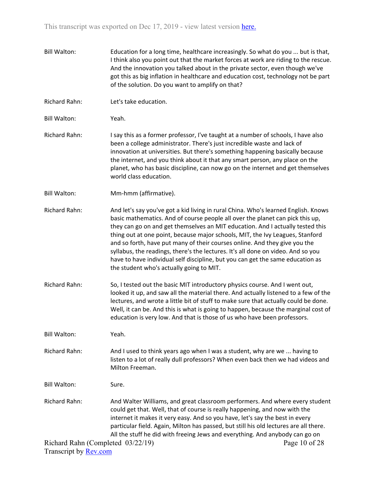Bill Walton: Education for a long time, healthcare increasingly. So what do you ... but is that, I think also you point out that the market forces at work are riding to the rescue. And the innovation you talked about in the private sector, even though we've got this as big inflation in healthcare and education cost, technology not be part of the solution. Do you want to amplify on that? Richard Rahn: Let's take education. Bill Walton: Yeah. Richard Rahn: I say this as a former professor, I've taught at a number of schools, I have also been a college administrator. There's just incredible waste and lack of innovation at universities. But there's something happening basically because the internet, and you think about it that any smart person, any place on the planet, who has basic discipline, can now go on the internet and get themselves world class education. Bill Walton: Mm-hmm (affirmative). Richard Rahn: And let's say you've got a kid living in rural China. Who's learned English. Knows basic mathematics. And of course people all over the planet can pick this up, they can go on and get themselves an MIT education. And I actually tested this thing out at one point, because major schools, MIT, the Ivy Leagues, Stanford and so forth, have put many of their courses online. And they give you the syllabus, the readings, there's the lectures. It's all done on video. And so you have to have individual self discipline, but you can get the same education as the student who's actually going to MIT. Richard Rahn: So, I tested out the basic MIT introductory physics course. And I went out, looked it up, and saw all the material there. And actually listened to a few of the lectures, and wrote a little bit of stuff to make sure that actually could be done. Well, it can be. And this is what is going to happen, because the marginal cost of education is very low. And that is those of us who have been professors. Bill Walton: Yeah. Richard Rahn: And I used to think years ago when I was a student, why are we ... having to listen to a lot of really dull professors? When even back then we had videos and Milton Freeman. Bill Walton: Sure. Richard Rahn: And Walter Williams, and great classroom performers. And where every student could get that. Well, that of course is really happening, and now with the internet it makes it very easy. And so you have, let's say the best in every particular field. Again, Milton has passed, but still his old lectures are all there. All the stuff he did with freeing Jews and everything. And anybody can go on

Page 10 of 28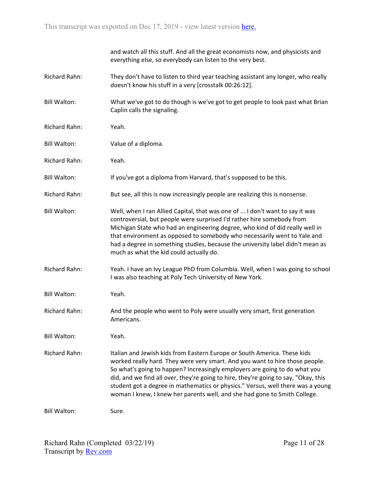|                      | and watch all this stuff. And all the great economists now, and physicists and<br>everything else, so everybody can listen to the very best.                                                                                                                                                                                                                                                                                                                                                  |
|----------------------|-----------------------------------------------------------------------------------------------------------------------------------------------------------------------------------------------------------------------------------------------------------------------------------------------------------------------------------------------------------------------------------------------------------------------------------------------------------------------------------------------|
| <b>Richard Rahn:</b> | They don't have to listen to third year teaching assistant any longer, who really<br>doesn't know his stuff in a very [crosstalk 00:26:12].                                                                                                                                                                                                                                                                                                                                                   |
| <b>Bill Walton:</b>  | What we've got to do though is we've got to get people to look past what Brian<br>Caplin calls the signaling.                                                                                                                                                                                                                                                                                                                                                                                 |
| <b>Richard Rahn:</b> | Yeah.                                                                                                                                                                                                                                                                                                                                                                                                                                                                                         |
| <b>Bill Walton:</b>  | Value of a diploma.                                                                                                                                                                                                                                                                                                                                                                                                                                                                           |
| Richard Rahn:        | Yeah.                                                                                                                                                                                                                                                                                                                                                                                                                                                                                         |
| <b>Bill Walton:</b>  | If you've got a diploma from Harvard, that's supposed to be this.                                                                                                                                                                                                                                                                                                                                                                                                                             |
| <b>Richard Rahn:</b> | But see, all this is now increasingly people are realizing this is nonsense.                                                                                                                                                                                                                                                                                                                                                                                                                  |
| <b>Bill Walton:</b>  | Well, when I ran Allied Capital, that was one of  I don't want to say it was<br>controversial, but people were surprised I'd rather hire somebody from<br>Michigan State who had an engineering degree, who kind of did really well in<br>that environment as opposed to somebody who necessarily went to Yale and<br>had a degree in something studies, because the university label didn't mean as<br>much as what the kid could actually do.                                               |
| Richard Rahn:        | Yeah. I have an Ivy League PhD from Columbia. Well, when I was going to school<br>I was also teaching at Poly Tech University of New York.                                                                                                                                                                                                                                                                                                                                                    |
| <b>Bill Walton:</b>  | Yeah.                                                                                                                                                                                                                                                                                                                                                                                                                                                                                         |
| <b>Richard Rahn:</b> | And the people who went to Poly were usually very smart, first generation<br>Americans.                                                                                                                                                                                                                                                                                                                                                                                                       |
| <b>Bill Walton:</b>  | Yeah.                                                                                                                                                                                                                                                                                                                                                                                                                                                                                         |
| <b>Richard Rahn:</b> | Italian and Jewish kids from Eastern Europe or South America. These kids<br>worked really hard. They were very smart. And you want to hire those people.<br>So what's going to happen? Increasingly employers are going to do what you<br>did, and we find all over, they're going to hire, they're going to say, "Okay, this<br>student got a degree in mathematics or physics." Versus, well there was a young<br>woman I knew, I knew her parents well, and she had gone to Smith College. |
| <b>Bill Walton:</b>  | Sure.                                                                                                                                                                                                                                                                                                                                                                                                                                                                                         |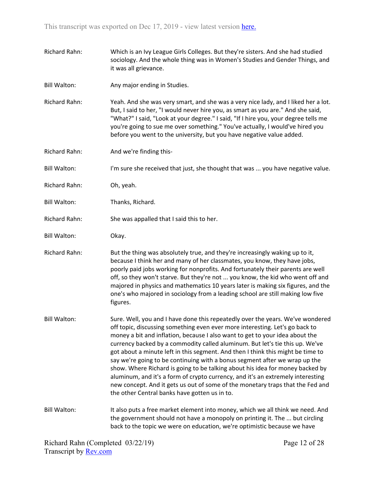- Richard Rahn: Which is an Ivy League Girls Colleges. But they're sisters. And she had studied sociology. And the whole thing was in Women's Studies and Gender Things, and it was all grievance.
- Bill Walton: Any major ending in Studies.

Richard Rahn: Yeah. And she was very smart, and she was a very nice lady, and I liked her a lot. But, I said to her, "I would never hire you, as smart as you are." And she said, "What?" I said, "Look at your degree." I said, "If I hire you, your degree tells me you're going to sue me over something." You've actually, I would've hired you before you went to the university, but you have negative value added.

- Richard Rahn: And we're finding this-
- Bill Walton: I'm sure she received that just, she thought that was ... you have negative value.
- Richard Rahn: Oh, yeah.
- Bill Walton: Thanks, Richard.
- Richard Rahn: She was appalled that I said this to her.
- Bill Walton: Okay.

Richard Rahn: But the thing was absolutely true, and they're increasingly waking up to it, because I think her and many of her classmates, you know, they have jobs, poorly paid jobs working for nonprofits. And fortunately their parents are well off, so they won't starve. But they're not ... you know, the kid who went off and majored in physics and mathematics 10 years later is making six figures, and the one's who majored in sociology from a leading school are still making low five figures.

Bill Walton: Sure. Well, you and I have done this repeatedly over the years. We've wondered off topic, discussing something even ever more interesting. Let's go back to money a bit and inflation, because I also want to get to your idea about the currency backed by a commodity called aluminum. But let's tie this up. We've got about a minute left in this segment. And then I think this might be time to say we're going to be continuing with a bonus segment after we wrap up the show. Where Richard is going to be talking about his idea for money backed by aluminum, and it's a form of crypto currency, and it's an extremely interesting new concept. And it gets us out of some of the monetary traps that the Fed and the other Central banks have gotten us in to.

Bill Walton: It also puts a free market element into money, which we all think we need. And the government should not have a monopoly on printing it. The ... but circling back to the topic we were on education, we're optimistic because we have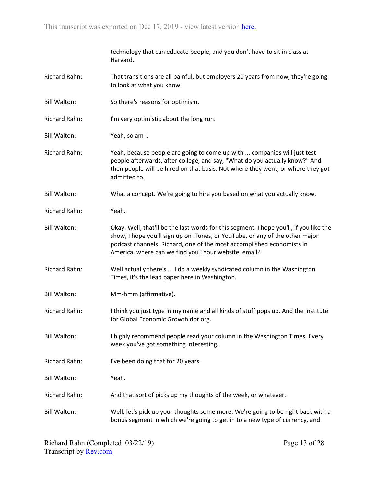|                     | technology that can educate people, and you don't have to sit in class at<br>Harvard.                                                                                                                                                                                                                   |
|---------------------|---------------------------------------------------------------------------------------------------------------------------------------------------------------------------------------------------------------------------------------------------------------------------------------------------------|
| Richard Rahn:       | That transitions are all painful, but employers 20 years from now, they're going<br>to look at what you know.                                                                                                                                                                                           |
| <b>Bill Walton:</b> | So there's reasons for optimism.                                                                                                                                                                                                                                                                        |
| Richard Rahn:       | I'm very optimistic about the long run.                                                                                                                                                                                                                                                                 |
| <b>Bill Walton:</b> | Yeah, so am I.                                                                                                                                                                                                                                                                                          |
| Richard Rahn:       | Yeah, because people are going to come up with  companies will just test<br>people afterwards, after college, and say, "What do you actually know?" And<br>then people will be hired on that basis. Not where they went, or where they got<br>admitted to.                                              |
| <b>Bill Walton:</b> | What a concept. We're going to hire you based on what you actually know.                                                                                                                                                                                                                                |
| Richard Rahn:       | Yeah.                                                                                                                                                                                                                                                                                                   |
| <b>Bill Walton:</b> | Okay. Well, that'll be the last words for this segment. I hope you'll, if you like the<br>show, I hope you'll sign up on iTunes, or YouTube, or any of the other major<br>podcast channels. Richard, one of the most accomplished economists in<br>America, where can we find you? Your website, email? |
| Richard Rahn:       | Well actually there's  I do a weekly syndicated column in the Washington<br>Times, it's the lead paper here in Washington.                                                                                                                                                                              |
| <b>Bill Walton:</b> | Mm-hmm (affirmative).                                                                                                                                                                                                                                                                                   |
| Richard Rahn:       | I think you just type in my name and all kinds of stuff pops up. And the Institute<br>for Global Economic Growth dot org.                                                                                                                                                                               |
| <b>Bill Walton:</b> | I highly recommend people read your column in the Washington Times. Every<br>week you've got something interesting.                                                                                                                                                                                     |
| Richard Rahn:       | I've been doing that for 20 years.                                                                                                                                                                                                                                                                      |
| <b>Bill Walton:</b> | Yeah.                                                                                                                                                                                                                                                                                                   |
| Richard Rahn:       | And that sort of picks up my thoughts of the week, or whatever.                                                                                                                                                                                                                                         |
| <b>Bill Walton:</b> | Well, let's pick up your thoughts some more. We're going to be right back with a<br>bonus segment in which we're going to get in to a new type of currency, and                                                                                                                                         |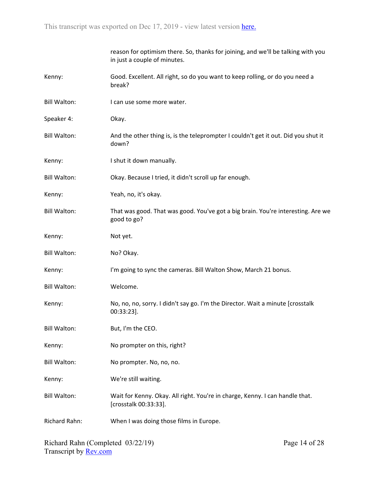|                     | reason for optimism there. So, thanks for joining, and we'll be talking with you<br>in just a couple of minutes. |
|---------------------|------------------------------------------------------------------------------------------------------------------|
| Kenny:              | Good. Excellent. All right, so do you want to keep rolling, or do you need a<br>break?                           |
| <b>Bill Walton:</b> | I can use some more water.                                                                                       |
| Speaker 4:          | Okay.                                                                                                            |
| <b>Bill Walton:</b> | And the other thing is, is the teleprompter I couldn't get it out. Did you shut it<br>down?                      |
| Kenny:              | I shut it down manually.                                                                                         |
| <b>Bill Walton:</b> | Okay. Because I tried, it didn't scroll up far enough.                                                           |
| Kenny:              | Yeah, no, it's okay.                                                                                             |
| <b>Bill Walton:</b> | That was good. That was good. You've got a big brain. You're interesting. Are we<br>good to go?                  |
| Kenny:              | Not yet.                                                                                                         |
| <b>Bill Walton:</b> | No? Okay.                                                                                                        |
| Kenny:              | I'm going to sync the cameras. Bill Walton Show, March 21 bonus.                                                 |
| <b>Bill Walton:</b> | Welcome.                                                                                                         |
| Kenny:              | No, no, no, sorry. I didn't say go. I'm the Director. Wait a minute [crosstalk<br>$00:33:23$ ].                  |
| <b>Bill Walton:</b> | But, I'm the CEO.                                                                                                |
| Kenny:              | No prompter on this, right?                                                                                      |
| <b>Bill Walton:</b> | No prompter. No, no, no.                                                                                         |
| Kenny:              | We're still waiting.                                                                                             |
| <b>Bill Walton:</b> | Wait for Kenny. Okay. All right. You're in charge, Kenny. I can handle that.<br>[crosstalk 00:33:33].            |
| Richard Rahn:       | When I was doing those films in Europe.                                                                          |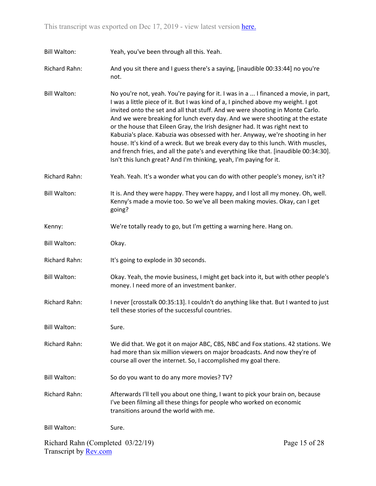Bill Walton: Yeah, you've been through all this. Yeah.

Richard Rahn: And you sit there and I guess there's a saying, [inaudible 00:33:44] no you're not.

Bill Walton: No you're not, yeah. You're paying for it. I was in a ... I financed a movie, in part, I was a little piece of it. But I was kind of a, I pinched above my weight. I got invited onto the set and all that stuff. And we were shooting in Monte Carlo. And we were breaking for lunch every day. And we were shooting at the estate or the house that Eileen Gray, the Irish designer had. It was right next to Kabuzia's place. Kabuzia was obsessed with her. Anyway, we're shooting in her house. It's kind of a wreck. But we break every day to this lunch. With muscles, and french fries, and all the pate's and everything like that. [inaudible 00:34:30]. Isn't this lunch great? And I'm thinking, yeah, I'm paying for it.

Richard Rahn: Yeah. Yeah. It's a wonder what you can do with other people's money, isn't it?

Bill Walton: It is. And they were happy. They were happy, and I lost all my money. Oh, well. Kenny's made a movie too. So we've all been making movies. Okay, can I get going?

Kenny: We're totally ready to go, but I'm getting a warning here. Hang on.

Bill Walton: Okay.

Richard Rahn: It's going to explode in 30 seconds.

Bill Walton: Okay. Yeah, the movie business, I might get back into it, but with other people's money. I need more of an investment banker.

Richard Rahn: I never [crosstalk 00:35:13]. I couldn't do anything like that. But I wanted to just tell these stories of the successful countries.

Bill Walton: Sure.

Richard Rahn: We did that. We got it on major ABC, CBS, NBC and Fox stations. 42 stations. We had more than six million viewers on major broadcasts. And now they're of course all over the internet. So, I accomplished my goal there.

Bill Walton: So do you want to do any more movies? TV?

Richard Rahn: Afterwards I'll tell you about one thing, I want to pick your brain on, because I've been filming all these things for people who worked on economic transitions around the world with me.

Bill Walton: Sure.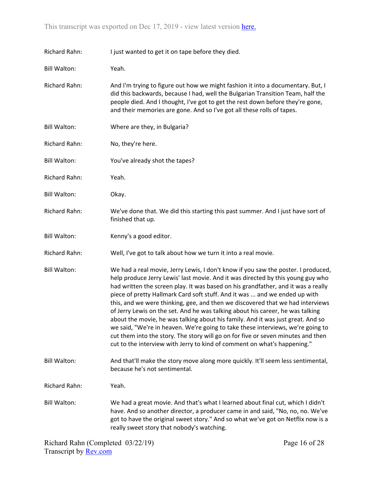| Richard Rahn:        | I just wanted to get it on tape before they died.                                                                                                                                                                                                                                                                                                                                                                                                                                                                                                                                                                                                                                                                                                                                                                                                 |
|----------------------|---------------------------------------------------------------------------------------------------------------------------------------------------------------------------------------------------------------------------------------------------------------------------------------------------------------------------------------------------------------------------------------------------------------------------------------------------------------------------------------------------------------------------------------------------------------------------------------------------------------------------------------------------------------------------------------------------------------------------------------------------------------------------------------------------------------------------------------------------|
| <b>Bill Walton:</b>  | Yeah.                                                                                                                                                                                                                                                                                                                                                                                                                                                                                                                                                                                                                                                                                                                                                                                                                                             |
| Richard Rahn:        | And I'm trying to figure out how we might fashion it into a documentary. But, I<br>did this backwards, because I had, well the Bulgarian Transition Team, half the<br>people died. And I thought, I've got to get the rest down before they're gone,<br>and their memories are gone. And so I've got all these rolls of tapes.                                                                                                                                                                                                                                                                                                                                                                                                                                                                                                                    |
| <b>Bill Walton:</b>  | Where are they, in Bulgaria?                                                                                                                                                                                                                                                                                                                                                                                                                                                                                                                                                                                                                                                                                                                                                                                                                      |
| Richard Rahn:        | No, they're here.                                                                                                                                                                                                                                                                                                                                                                                                                                                                                                                                                                                                                                                                                                                                                                                                                                 |
| <b>Bill Walton:</b>  | You've already shot the tapes?                                                                                                                                                                                                                                                                                                                                                                                                                                                                                                                                                                                                                                                                                                                                                                                                                    |
| Richard Rahn:        | Yeah.                                                                                                                                                                                                                                                                                                                                                                                                                                                                                                                                                                                                                                                                                                                                                                                                                                             |
| <b>Bill Walton:</b>  | Okay.                                                                                                                                                                                                                                                                                                                                                                                                                                                                                                                                                                                                                                                                                                                                                                                                                                             |
| <b>Richard Rahn:</b> | We've done that. We did this starting this past summer. And I just have sort of<br>finished that up.                                                                                                                                                                                                                                                                                                                                                                                                                                                                                                                                                                                                                                                                                                                                              |
| <b>Bill Walton:</b>  | Kenny's a good editor.                                                                                                                                                                                                                                                                                                                                                                                                                                                                                                                                                                                                                                                                                                                                                                                                                            |
| Richard Rahn:        | Well, I've got to talk about how we turn it into a real movie.                                                                                                                                                                                                                                                                                                                                                                                                                                                                                                                                                                                                                                                                                                                                                                                    |
| <b>Bill Walton:</b>  | We had a real movie, Jerry Lewis, I don't know if you saw the poster. I produced,<br>help produce Jerry Lewis' last movie. And it was directed by this young guy who<br>had written the screen play. It was based on his grandfather, and it was a really<br>piece of pretty Hallmark Card soft stuff. And it was  and we ended up with<br>this, and we were thinking, gee, and then we discovered that we had interviews<br>of Jerry Lewis on the set. And he was talking about his career, he was talking<br>about the movie, he was talking about his family. And it was just great. And so<br>we said, "We're in heaven. We're going to take these interviews, we're going to<br>cut them into the story. The story will go on for five or seven minutes and then<br>cut to the interview with Jerry to kind of comment on what's happening." |
| <b>Bill Walton:</b>  | And that'll make the story move along more quickly. It'll seem less sentimental,<br>because he's not sentimental.                                                                                                                                                                                                                                                                                                                                                                                                                                                                                                                                                                                                                                                                                                                                 |
| <b>Richard Rahn:</b> | Yeah.                                                                                                                                                                                                                                                                                                                                                                                                                                                                                                                                                                                                                                                                                                                                                                                                                                             |
| <b>Bill Walton:</b>  | We had a great movie. And that's what I learned about final cut, which I didn't<br>have. And so another director, a producer came in and said, "No, no, no. We've<br>got to have the original sweet story." And so what we've got on Netflix now is a<br>really sweet story that nobody's watching.                                                                                                                                                                                                                                                                                                                                                                                                                                                                                                                                               |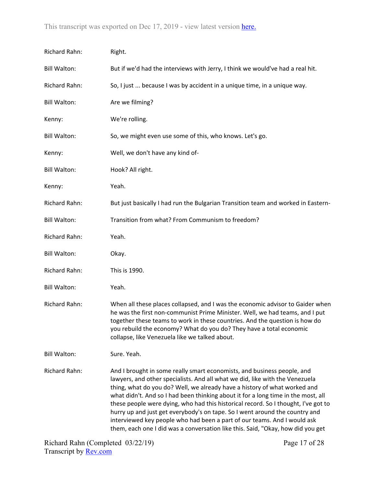| Richard Rahn:       | Right.                                                                                                                                                                                                                                                                                                                                                                                                                                                                                                                                                                                                                                                        |
|---------------------|---------------------------------------------------------------------------------------------------------------------------------------------------------------------------------------------------------------------------------------------------------------------------------------------------------------------------------------------------------------------------------------------------------------------------------------------------------------------------------------------------------------------------------------------------------------------------------------------------------------------------------------------------------------|
| <b>Bill Walton:</b> | But if we'd had the interviews with Jerry, I think we would've had a real hit.                                                                                                                                                                                                                                                                                                                                                                                                                                                                                                                                                                                |
| Richard Rahn:       | So, I just  because I was by accident in a unique time, in a unique way.                                                                                                                                                                                                                                                                                                                                                                                                                                                                                                                                                                                      |
| <b>Bill Walton:</b> | Are we filming?                                                                                                                                                                                                                                                                                                                                                                                                                                                                                                                                                                                                                                               |
| Kenny:              | We're rolling.                                                                                                                                                                                                                                                                                                                                                                                                                                                                                                                                                                                                                                                |
| <b>Bill Walton:</b> | So, we might even use some of this, who knows. Let's go.                                                                                                                                                                                                                                                                                                                                                                                                                                                                                                                                                                                                      |
| Kenny:              | Well, we don't have any kind of-                                                                                                                                                                                                                                                                                                                                                                                                                                                                                                                                                                                                                              |
| <b>Bill Walton:</b> | Hook? All right.                                                                                                                                                                                                                                                                                                                                                                                                                                                                                                                                                                                                                                              |
| Kenny:              | Yeah.                                                                                                                                                                                                                                                                                                                                                                                                                                                                                                                                                                                                                                                         |
| Richard Rahn:       | But just basically I had run the Bulgarian Transition team and worked in Eastern-                                                                                                                                                                                                                                                                                                                                                                                                                                                                                                                                                                             |
| <b>Bill Walton:</b> | Transition from what? From Communism to freedom?                                                                                                                                                                                                                                                                                                                                                                                                                                                                                                                                                                                                              |
| Richard Rahn:       | Yeah.                                                                                                                                                                                                                                                                                                                                                                                                                                                                                                                                                                                                                                                         |
| <b>Bill Walton:</b> | Okay.                                                                                                                                                                                                                                                                                                                                                                                                                                                                                                                                                                                                                                                         |
| Richard Rahn:       | This is 1990.                                                                                                                                                                                                                                                                                                                                                                                                                                                                                                                                                                                                                                                 |
| <b>Bill Walton:</b> | Yeah.                                                                                                                                                                                                                                                                                                                                                                                                                                                                                                                                                                                                                                                         |
| Richard Rahn:       | When all these places collapsed, and I was the economic advisor to Gaider when<br>he was the first non-communist Prime Minister. Well, we had teams, and I put<br>together these teams to work in these countries. And the question is how do<br>you rebuild the economy? What do you do? They have a total economic<br>collapse, like Venezuela like we talked about.                                                                                                                                                                                                                                                                                        |
| <b>Bill Walton:</b> | Sure. Yeah.                                                                                                                                                                                                                                                                                                                                                                                                                                                                                                                                                                                                                                                   |
| Richard Rahn:       | And I brought in some really smart economists, and business people, and<br>lawyers, and other specialists. And all what we did, like with the Venezuela<br>thing, what do you do? Well, we already have a history of what worked and<br>what didn't. And so I had been thinking about it for a long time in the most, all<br>these people were dying, who had this historical record. So I thought, I've got to<br>hurry up and just get everybody's on tape. So I went around the country and<br>interviewed key people who had been a part of our teams. And I would ask<br>them, each one I did was a conversation like this. Said, "Okay, how did you get |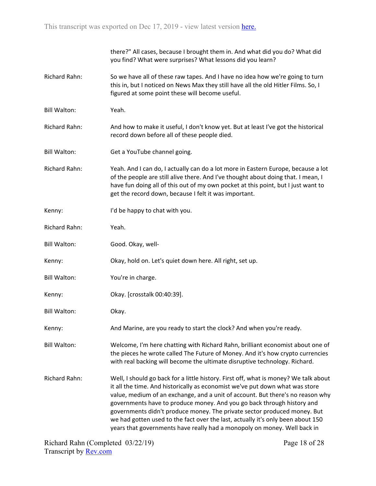|                      | there?" All cases, because I brought them in. And what did you do? What did<br>you find? What were surprises? What lessons did you learn?                                                                                                                                                                                                                                                                                                                                                                                                                                   |
|----------------------|-----------------------------------------------------------------------------------------------------------------------------------------------------------------------------------------------------------------------------------------------------------------------------------------------------------------------------------------------------------------------------------------------------------------------------------------------------------------------------------------------------------------------------------------------------------------------------|
| Richard Rahn:        | So we have all of these raw tapes. And I have no idea how we're going to turn<br>this in, but I noticed on News Max they still have all the old Hitler Films. So, I<br>figured at some point these will become useful.                                                                                                                                                                                                                                                                                                                                                      |
| <b>Bill Walton:</b>  | Yeah.                                                                                                                                                                                                                                                                                                                                                                                                                                                                                                                                                                       |
| <b>Richard Rahn:</b> | And how to make it useful, I don't know yet. But at least I've got the historical<br>record down before all of these people died.                                                                                                                                                                                                                                                                                                                                                                                                                                           |
| <b>Bill Walton:</b>  | Get a YouTube channel going.                                                                                                                                                                                                                                                                                                                                                                                                                                                                                                                                                |
| <b>Richard Rahn:</b> | Yeah. And I can do, I actually can do a lot more in Eastern Europe, because a lot<br>of the people are still alive there. And I've thought about doing that. I mean, I<br>have fun doing all of this out of my own pocket at this point, but I just want to<br>get the record down, because I felt it was important.                                                                                                                                                                                                                                                        |
| Kenny:               | I'd be happy to chat with you.                                                                                                                                                                                                                                                                                                                                                                                                                                                                                                                                              |
| <b>Richard Rahn:</b> | Yeah.                                                                                                                                                                                                                                                                                                                                                                                                                                                                                                                                                                       |
| <b>Bill Walton:</b>  | Good. Okay, well-                                                                                                                                                                                                                                                                                                                                                                                                                                                                                                                                                           |
| Kenny:               | Okay, hold on. Let's quiet down here. All right, set up.                                                                                                                                                                                                                                                                                                                                                                                                                                                                                                                    |
| <b>Bill Walton:</b>  | You're in charge.                                                                                                                                                                                                                                                                                                                                                                                                                                                                                                                                                           |
| Kenny:               | Okay. [crosstalk 00:40:39].                                                                                                                                                                                                                                                                                                                                                                                                                                                                                                                                                 |
| <b>Bill Walton:</b>  | Okay.                                                                                                                                                                                                                                                                                                                                                                                                                                                                                                                                                                       |
| Kenny:               | And Marine, are you ready to start the clock? And when you're ready.                                                                                                                                                                                                                                                                                                                                                                                                                                                                                                        |
| <b>Bill Walton:</b>  | Welcome, I'm here chatting with Richard Rahn, brilliant economist about one of<br>the pieces he wrote called The Future of Money. And it's how crypto currencies<br>with real backing will become the ultimate disruptive technology. Richard.                                                                                                                                                                                                                                                                                                                              |
| Richard Rahn:        | Well, I should go back for a little history. First off, what is money? We talk about<br>it all the time. And historically as economist we've put down what was store<br>value, medium of an exchange, and a unit of account. But there's no reason why<br>governments have to produce money. And you go back through history and<br>governments didn't produce money. The private sector produced money. But<br>we had gotten used to the fact over the last, actually it's only been about 150<br>years that governments have really had a monopoly on money. Well back in |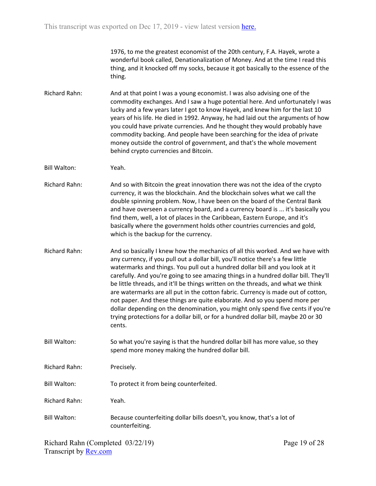1976, to me the greatest economist of the 20th century, F.A. Hayek, wrote a wonderful book called, Denationalization of Money. And at the time I read this thing, and it knocked off my socks, because it got basically to the essence of the thing.

Richard Rahn: And at that point I was a young economist. I was also advising one of the commodity exchanges. And I saw a huge potential here. And unfortunately I was lucky and a few years later I got to know Hayek, and knew him for the last 10 years of his life. He died in 1992. Anyway, he had laid out the arguments of how you could have private currencies. And he thought they would probably have commodity backing. And people have been searching for the idea of private money outside the control of government, and that's the whole movement behind crypto currencies and Bitcoin.

Bill Walton: Yeah.

Richard Rahn: And so with Bitcoin the great innovation there was not the idea of the crypto currency, it was the blockchain. And the blockchain solves what we call the double spinning problem. Now, I have been on the board of the Central Bank and have overseen a currency board, and a currency board is ... it's basically you find them, well, a lot of places in the Caribbean, Eastern Europe, and it's basically where the government holds other countries currencies and gold, which is the backup for the currency.

Richard Rahn: And so basically I knew how the mechanics of all this worked. And we have with any currency, if you pull out a dollar bill, you'll notice there's a few little watermarks and things. You pull out a hundred dollar bill and you look at it carefully. And you're going to see amazing things in a hundred dollar bill. They'll be little threads, and it'll be things written on the threads, and what we think are watermarks are all put in the cotton fabric. Currency is made out of cotton, not paper. And these things are quite elaborate. And so you spend more per dollar depending on the denomination, you might only spend five cents if you're trying protections for a dollar bill, or for a hundred dollar bill, maybe 20 or 30 cents.

Bill Walton: So what you're saying is that the hundred dollar bill has more value, so they spend more money making the hundred dollar bill.

Richard Rahn: Precisely.

Bill Walton: To protect it from being counterfeited.

Richard Rahn: Yeah.

Bill Walton: Because counterfeiting dollar bills doesn't, you know, that's a lot of counterfeiting.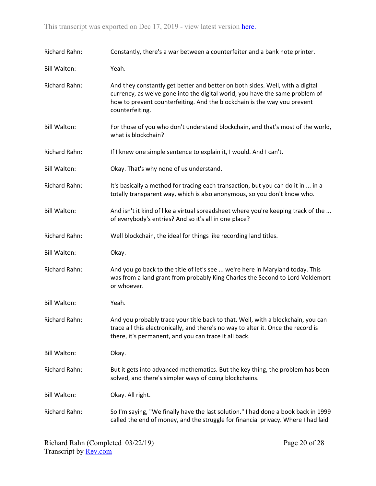| Richard Rahn:       | Constantly, there's a war between a counterfeiter and a bank note printer.                                                                                                                                                                                   |
|---------------------|--------------------------------------------------------------------------------------------------------------------------------------------------------------------------------------------------------------------------------------------------------------|
| <b>Bill Walton:</b> | Yeah.                                                                                                                                                                                                                                                        |
| Richard Rahn:       | And they constantly get better and better on both sides. Well, with a digital<br>currency, as we've gone into the digital world, you have the same problem of<br>how to prevent counterfeiting. And the blockchain is the way you prevent<br>counterfeiting. |
| <b>Bill Walton:</b> | For those of you who don't understand blockchain, and that's most of the world,<br>what is blockchain?                                                                                                                                                       |
| Richard Rahn:       | If I knew one simple sentence to explain it, I would. And I can't.                                                                                                                                                                                           |
| <b>Bill Walton:</b> | Okay. That's why none of us understand.                                                                                                                                                                                                                      |
| Richard Rahn:       | It's basically a method for tracing each transaction, but you can do it in  in a<br>totally transparent way, which is also anonymous, so you don't know who.                                                                                                 |
| <b>Bill Walton:</b> | And isn't it kind of like a virtual spreadsheet where you're keeping track of the<br>of everybody's entries? And so it's all in one place?                                                                                                                   |
| Richard Rahn:       | Well blockchain, the ideal for things like recording land titles.                                                                                                                                                                                            |
| <b>Bill Walton:</b> | Okay.                                                                                                                                                                                                                                                        |
| Richard Rahn:       | And you go back to the title of let's see  we're here in Maryland today. This<br>was from a land grant from probably King Charles the Second to Lord Voldemort<br>or whoever.                                                                                |
| <b>Bill Walton:</b> | Yeah.                                                                                                                                                                                                                                                        |
| Richard Rahn:       | And you probably trace your title back to that. Well, with a blockchain, you can<br>trace all this electronically, and there's no way to alter it. Once the record is<br>there, it's permanent, and you can trace it all back.                               |
| <b>Bill Walton:</b> | Okay.                                                                                                                                                                                                                                                        |
| Richard Rahn:       | But it gets into advanced mathematics. But the key thing, the problem has been<br>solved, and there's simpler ways of doing blockchains.                                                                                                                     |
| <b>Bill Walton:</b> | Okay. All right.                                                                                                                                                                                                                                             |
| Richard Rahn:       | So I'm saying, "We finally have the last solution." I had done a book back in 1999<br>called the end of money, and the struggle for financial privacy. Where I had laid                                                                                      |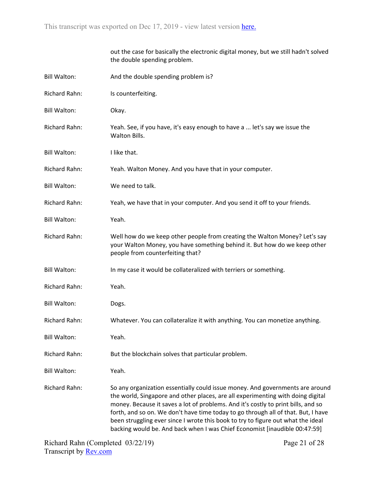|                      | out the case for basically the electronic digital money, but we still hadn't solved<br>the double spending problem.                                                                                                                                                                                                                                                                                                                                                                                          |
|----------------------|--------------------------------------------------------------------------------------------------------------------------------------------------------------------------------------------------------------------------------------------------------------------------------------------------------------------------------------------------------------------------------------------------------------------------------------------------------------------------------------------------------------|
| <b>Bill Walton:</b>  | And the double spending problem is?                                                                                                                                                                                                                                                                                                                                                                                                                                                                          |
| Richard Rahn:        | Is counterfeiting.                                                                                                                                                                                                                                                                                                                                                                                                                                                                                           |
| <b>Bill Walton:</b>  | Okay.                                                                                                                                                                                                                                                                                                                                                                                                                                                                                                        |
| <b>Richard Rahn:</b> | Yeah. See, if you have, it's easy enough to have a  let's say we issue the<br>Walton Bills.                                                                                                                                                                                                                                                                                                                                                                                                                  |
| <b>Bill Walton:</b>  | I like that.                                                                                                                                                                                                                                                                                                                                                                                                                                                                                                 |
| Richard Rahn:        | Yeah. Walton Money. And you have that in your computer.                                                                                                                                                                                                                                                                                                                                                                                                                                                      |
| <b>Bill Walton:</b>  | We need to talk.                                                                                                                                                                                                                                                                                                                                                                                                                                                                                             |
| Richard Rahn:        | Yeah, we have that in your computer. And you send it off to your friends.                                                                                                                                                                                                                                                                                                                                                                                                                                    |
| <b>Bill Walton:</b>  | Yeah.                                                                                                                                                                                                                                                                                                                                                                                                                                                                                                        |
| Richard Rahn:        | Well how do we keep other people from creating the Walton Money? Let's say<br>your Walton Money, you have something behind it. But how do we keep other<br>people from counterfeiting that?                                                                                                                                                                                                                                                                                                                  |
| <b>Bill Walton:</b>  | In my case it would be collateralized with terriers or something.                                                                                                                                                                                                                                                                                                                                                                                                                                            |
| Richard Rahn:        | Yeah.                                                                                                                                                                                                                                                                                                                                                                                                                                                                                                        |
| <b>Bill Walton:</b>  | Dogs.                                                                                                                                                                                                                                                                                                                                                                                                                                                                                                        |
| Richard Rahn:        | Whatever. You can collateralize it with anything. You can monetize anything                                                                                                                                                                                                                                                                                                                                                                                                                                  |
| <b>Bill Walton:</b>  | Yeah.                                                                                                                                                                                                                                                                                                                                                                                                                                                                                                        |
| Richard Rahn:        | But the blockchain solves that particular problem.                                                                                                                                                                                                                                                                                                                                                                                                                                                           |
| <b>Bill Walton:</b>  | Yeah.                                                                                                                                                                                                                                                                                                                                                                                                                                                                                                        |
| Richard Rahn:        | So any organization essentially could issue money. And governments are around<br>the world, Singapore and other places, are all experimenting with doing digital<br>money. Because it saves a lot of problems. And it's costly to print bills, and so<br>forth, and so on. We don't have time today to go through all of that. But, I have<br>been struggling ever since I wrote this book to try to figure out what the ideal<br>backing would be. And back when I was Chief Economist [inaudible 00:47:59] |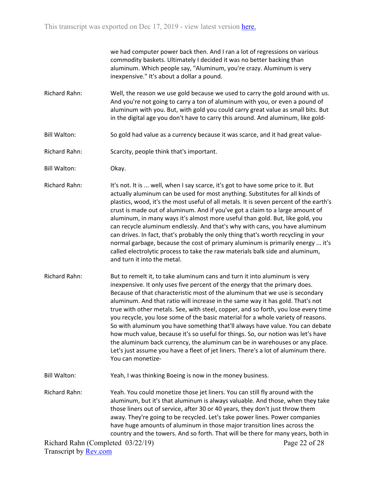we had computer power back then. And I ran a lot of regressions on various commodity baskets. Ultimately I decided it was no better backing than aluminum. Which people say, "Aluminum, you're crazy. Aluminum is very inexpensive." It's about a dollar a pound.

Richard Rahn: Well, the reason we use gold because we used to carry the gold around with us. And you're not going to carry a ton of aluminum with you, or even a pound of aluminum with you. But, with gold you could carry great value as small bits. But in the digital age you don't have to carry this around. And aluminum, like gold-

- Bill Walton: So gold had value as a currency because it was scarce, and it had great value-
- Richard Rahn: Scarcity, people think that's important.
- Bill Walton: Okay.

Richard Rahn: It's not. It is ... well, when I say scarce, it's got to have some price to it. But actually aluminum can be used for most anything. Substitutes for all kinds of plastics, wood, it's the most useful of all metals. It is seven percent of the earth's crust is made out of aluminum. And if you've got a claim to a large amount of aluminum, in many ways it's almost more useful than gold. But, like gold, you can recycle aluminum endlessly. And that's why with cans, you have aluminum can drives. In fact, that's probably the only thing that's worth recycling in your normal garbage, because the cost of primary aluminum is primarily energy ... it's called electrolytic process to take the raw materials balk side and aluminum, and turn it into the metal.

- Richard Rahn: But to remelt it, to take aluminum cans and turn it into aluminum is very inexpensive. It only uses five percent of the energy that the primary does. Because of that characteristic most of the aluminum that we use is secondary aluminum. And that ratio will increase in the same way it has gold. That's not true with other metals. See, with steel, copper, and so forth, you lose every time you recycle, you lose some of the basic material for a whole variety of reasons. So with aluminum you have something that'll always have value. You can debate how much value, because it's so useful for things. So, our notion was let's have the aluminum back currency, the aluminum can be in warehouses or any place. Let's just assume you have a fleet of jet liners. There's a lot of aluminum there. You can monetize-
- Bill Walton: Yeah, I was thinking Boeing is now in the money business.
- Richard Rahn: Yeah. You could monetize those jet liners. You can still fly around with the aluminum, but it's that aluminum is always valuable. And those, when they take those liners out of service, after 30 or 40 years, they don't just throw them away. They're going to be recycled. Let's take power lines. Power companies have huge amounts of aluminum in those major transition lines across the country and the towers. And so forth. That will be there for many years, both in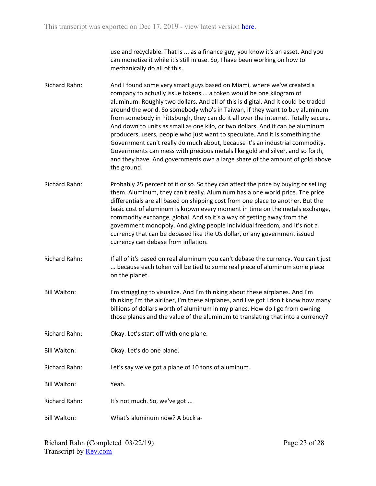use and recyclable. That is ... as a finance guy, you know it's an asset. And you can monetize it while it's still in use. So, I have been working on how to mechanically do all of this.

Richard Rahn: And I found some very smart guys based on Miami, where we've created a company to actually issue tokens ... a token would be one kilogram of aluminum. Roughly two dollars. And all of this is digital. And it could be traded around the world. So somebody who's in Taiwan, if they want to buy aluminum from somebody in Pittsburgh, they can do it all over the internet. Totally secure. And down to units as small as one kilo, or two dollars. And it can be aluminum producers, users, people who just want to speculate. And it is something the Government can't really do much about, because it's an industrial commodity. Governments can mess with precious metals like gold and silver, and so forth, and they have. And governments own a large share of the amount of gold above the ground.

Richard Rahn: Probably 25 percent of it or so. So they can affect the price by buying or selling them. Aluminum, they can't really. Aluminum has a one world price. The price differentials are all based on shipping cost from one place to another. But the basic cost of aluminum is known every moment in time on the metals exchange, commodity exchange, global. And so it's a way of getting away from the government monopoly. And giving people individual freedom, and it's not a currency that can be debased like the US dollar, or any government issued currency can debase from inflation.

Richard Rahn: If all of it's based on real aluminum you can't debase the currency. You can't just ... because each token will be tied to some real piece of aluminum some place on the planet.

- Bill Walton: I'm struggling to visualize. And I'm thinking about these airplanes. And I'm thinking I'm the airliner, I'm these airplanes, and I've got I don't know how many billions of dollars worth of aluminum in my planes. How do I go from owning those planes and the value of the aluminum to translating that into a currency?
- Richard Rahn: Okay. Let's start off with one plane.

Bill Walton: Okay. Let's do one plane.

Richard Rahn: Let's say we've got a plane of 10 tons of aluminum.

Bill Walton: Yeah.

Richard Rahn: It's not much. So, we've got ...

Bill Walton: What's aluminum now? A buck a-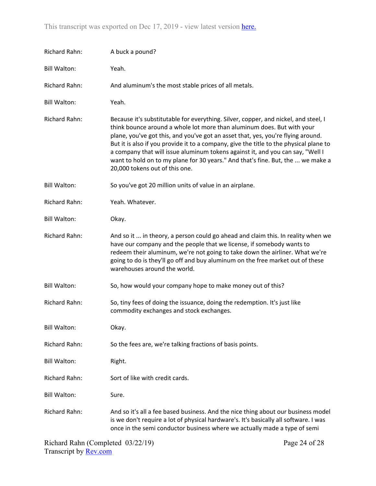| Richard Rahn:        | A buck a pound?                                                                                                                                                                                                                                                                                                                                                                                                                                                                                                                                    |
|----------------------|----------------------------------------------------------------------------------------------------------------------------------------------------------------------------------------------------------------------------------------------------------------------------------------------------------------------------------------------------------------------------------------------------------------------------------------------------------------------------------------------------------------------------------------------------|
| <b>Bill Walton:</b>  | Yeah.                                                                                                                                                                                                                                                                                                                                                                                                                                                                                                                                              |
| Richard Rahn:        | And aluminum's the most stable prices of all metals.                                                                                                                                                                                                                                                                                                                                                                                                                                                                                               |
| <b>Bill Walton:</b>  | Yeah.                                                                                                                                                                                                                                                                                                                                                                                                                                                                                                                                              |
| Richard Rahn:        | Because it's substitutable for everything. Silver, copper, and nickel, and steel, I<br>think bounce around a whole lot more than aluminum does. But with your<br>plane, you've got this, and you've got an asset that, yes, you're flying around.<br>But it is also if you provide it to a company, give the title to the physical plane to<br>a company that will issue aluminum tokens against it, and you can say, "Well I<br>want to hold on to my plane for 30 years." And that's fine. But, the  we make a<br>20,000 tokens out of this one. |
| <b>Bill Walton:</b>  | So you've got 20 million units of value in an airplane.                                                                                                                                                                                                                                                                                                                                                                                                                                                                                            |
| Richard Rahn:        | Yeah. Whatever.                                                                                                                                                                                                                                                                                                                                                                                                                                                                                                                                    |
| <b>Bill Walton:</b>  | Okay.                                                                                                                                                                                                                                                                                                                                                                                                                                                                                                                                              |
| Richard Rahn:        | And so it  in theory, a person could go ahead and claim this. In reality when we<br>have our company and the people that we license, if somebody wants to<br>redeem their aluminum, we're not going to take down the airliner. What we're<br>going to do is they'll go off and buy aluminum on the free market out of these<br>warehouses around the world.                                                                                                                                                                                        |
| <b>Bill Walton:</b>  | So, how would your company hope to make money out of this?                                                                                                                                                                                                                                                                                                                                                                                                                                                                                         |
| <b>Richard Rahn:</b> | So, tiny fees of doing the issuance, doing the redemption. It's just like<br>commodity exchanges and stock exchanges.                                                                                                                                                                                                                                                                                                                                                                                                                              |
| <b>Bill Walton:</b>  | Okay.                                                                                                                                                                                                                                                                                                                                                                                                                                                                                                                                              |
| Richard Rahn:        | So the fees are, we're talking fractions of basis points.                                                                                                                                                                                                                                                                                                                                                                                                                                                                                          |
| <b>Bill Walton:</b>  | Right.                                                                                                                                                                                                                                                                                                                                                                                                                                                                                                                                             |
| <b>Richard Rahn:</b> | Sort of like with credit cards.                                                                                                                                                                                                                                                                                                                                                                                                                                                                                                                    |
| <b>Bill Walton:</b>  | Sure.                                                                                                                                                                                                                                                                                                                                                                                                                                                                                                                                              |
| Richard Rahn:        | And so it's all a fee based business. And the nice thing about our business model<br>is we don't require a lot of physical hardware's. It's basically all software. I was<br>once in the semi conductor business where we actually made a type of semi                                                                                                                                                                                                                                                                                             |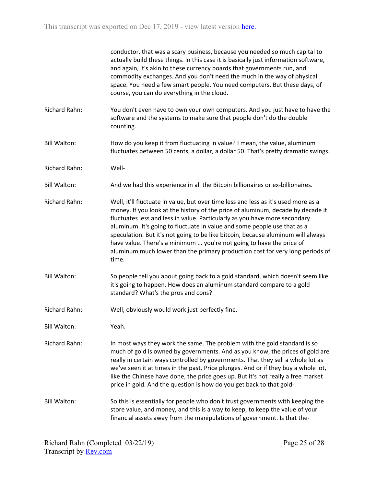conductor, that was a scary business, because you needed so much capital to actually build these things. In this case it is basically just information software, and again, it's akin to these currency boards that governments run, and commodity exchanges. And you don't need the much in the way of physical space. You need a few smart people. You need computers. But these days, of course, you can do everything in the cloud.

- Richard Rahn: You don't even have to own your own computers. And you just have to have the software and the systems to make sure that people don't do the double counting.
- Bill Walton: How do you keep it from fluctuating in value? I mean, the value, aluminum fluctuates between 50 cents, a dollar, a dollar 50. That's pretty dramatic swings.
- Richard Rahn: Well-
- Bill Walton: And we had this experience in all the Bitcoin billionaires or ex-billionaires.
- Richard Rahn: Well, it'll fluctuate in value, but over time less and less as it's used more as a money. If you look at the history of the price of aluminum, decade by decade it fluctuates less and less in value. Particularly as you have more secondary aluminum. It's going to fluctuate in value and some people use that as a speculation. But it's not going to be like bitcoin, because aluminum will always have value. There's a minimum ... you're not going to have the price of aluminum much lower than the primary production cost for very long periods of time.
- Bill Walton: So people tell you about going back to a gold standard, which doesn't seem like it's going to happen. How does an aluminum standard compare to a gold standard? What's the pros and cons?
- Richard Rahn: Well, obviously would work just perfectly fine.
- Bill Walton: Yeah.

Richard Rahn: In most ways they work the same. The problem with the gold standard is so much of gold is owned by governments. And as you know, the prices of gold are really in certain ways controlled by governments. That they sell a whole lot as we've seen it at times in the past. Price plunges. And or if they buy a whole lot, like the Chinese have done, the price goes up. But it's not really a free market price in gold. And the question is how do you get back to that gold-

Bill Walton: So this is essentially for people who don't trust governments with keeping the store value, and money, and this is a way to keep, to keep the value of your financial assets away from the manipulations of government. Is that the-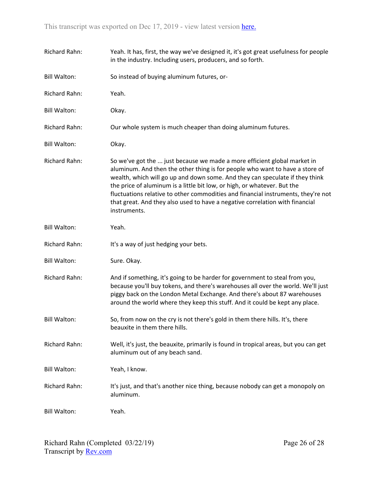| <b>Richard Rahn:</b> | Yeah. It has, first, the way we've designed it, it's got great usefulness for people<br>in the industry. Including users, producers, and so forth.                                                                                                                                                                                                                                                                                                                                                        |
|----------------------|-----------------------------------------------------------------------------------------------------------------------------------------------------------------------------------------------------------------------------------------------------------------------------------------------------------------------------------------------------------------------------------------------------------------------------------------------------------------------------------------------------------|
| <b>Bill Walton:</b>  | So instead of buying aluminum futures, or-                                                                                                                                                                                                                                                                                                                                                                                                                                                                |
| <b>Richard Rahn:</b> | Yeah.                                                                                                                                                                                                                                                                                                                                                                                                                                                                                                     |
| <b>Bill Walton:</b>  | Okay.                                                                                                                                                                                                                                                                                                                                                                                                                                                                                                     |
| <b>Richard Rahn:</b> | Our whole system is much cheaper than doing aluminum futures.                                                                                                                                                                                                                                                                                                                                                                                                                                             |
| <b>Bill Walton:</b>  | Okay.                                                                                                                                                                                                                                                                                                                                                                                                                                                                                                     |
| <b>Richard Rahn:</b> | So we've got the  just because we made a more efficient global market in<br>aluminum. And then the other thing is for people who want to have a store of<br>wealth, which will go up and down some. And they can speculate if they think<br>the price of aluminum is a little bit low, or high, or whatever. But the<br>fluctuations relative to other commodities and financial instruments, they're not<br>that great. And they also used to have a negative correlation with financial<br>instruments. |
| <b>Bill Walton:</b>  | Yeah.                                                                                                                                                                                                                                                                                                                                                                                                                                                                                                     |
| <b>Richard Rahn:</b> | It's a way of just hedging your bets.                                                                                                                                                                                                                                                                                                                                                                                                                                                                     |
| <b>Bill Walton:</b>  | Sure. Okay.                                                                                                                                                                                                                                                                                                                                                                                                                                                                                               |
| <b>Richard Rahn:</b> | And if something, it's going to be harder for government to steal from you,<br>because you'll buy tokens, and there's warehouses all over the world. We'll just<br>piggy back on the London Metal Exchange. And there's about 87 warehouses<br>around the world where they keep this stuff. And it could be kept any place.                                                                                                                                                                               |
| <b>Bill Walton:</b>  | So, from now on the cry is not there's gold in them there hills. It's, there<br>beauxite in them there hills.                                                                                                                                                                                                                                                                                                                                                                                             |
| <b>Richard Rahn:</b> | Well, it's just, the beauxite, primarily is found in tropical areas, but you can get<br>aluminum out of any beach sand.                                                                                                                                                                                                                                                                                                                                                                                   |
| <b>Bill Walton:</b>  | Yeah, I know.                                                                                                                                                                                                                                                                                                                                                                                                                                                                                             |
| <b>Richard Rahn:</b> | It's just, and that's another nice thing, because nobody can get a monopoly on<br>aluminum.                                                                                                                                                                                                                                                                                                                                                                                                               |
| <b>Bill Walton:</b>  | Yeah.                                                                                                                                                                                                                                                                                                                                                                                                                                                                                                     |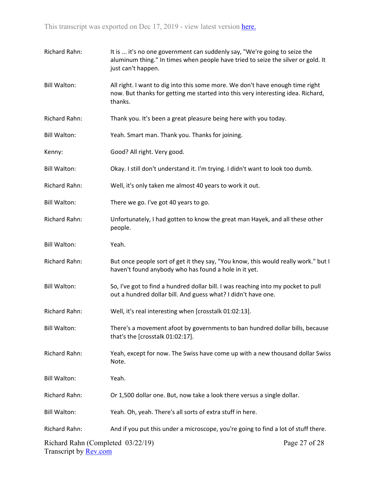| Richard Rahn:                                                     | It is  it's no one government can suddenly say, "We're going to seize the<br>aluminum thing." In times when people have tried to seize the silver or gold. It<br>just can't happen. |               |
|-------------------------------------------------------------------|-------------------------------------------------------------------------------------------------------------------------------------------------------------------------------------|---------------|
| <b>Bill Walton:</b>                                               | All right. I want to dig into this some more. We don't have enough time right<br>now. But thanks for getting me started into this very interesting idea. Richard,<br>thanks.        |               |
| Richard Rahn:                                                     | Thank you. It's been a great pleasure being here with you today.                                                                                                                    |               |
| <b>Bill Walton:</b>                                               | Yeah. Smart man. Thank you. Thanks for joining.                                                                                                                                     |               |
| Kenny:                                                            | Good? All right. Very good.                                                                                                                                                         |               |
| <b>Bill Walton:</b>                                               | Okay. I still don't understand it. I'm trying. I didn't want to look too dumb.                                                                                                      |               |
| Richard Rahn:                                                     | Well, it's only taken me almost 40 years to work it out.                                                                                                                            |               |
| <b>Bill Walton:</b>                                               | There we go. I've got 40 years to go.                                                                                                                                               |               |
| Richard Rahn:                                                     | Unfortunately, I had gotten to know the great man Hayek, and all these other<br>people.                                                                                             |               |
| <b>Bill Walton:</b>                                               | Yeah.                                                                                                                                                                               |               |
| Richard Rahn:                                                     | But once people sort of get it they say, "You know, this would really work." but I<br>haven't found anybody who has found a hole in it yet.                                         |               |
| <b>Bill Walton:</b>                                               | So, I've got to find a hundred dollar bill. I was reaching into my pocket to pull<br>out a hundred dollar bill. And guess what? I didn't have one.                                  |               |
| Richard Rahn:                                                     | Well, it's real interesting when [crosstalk 01:02:13].                                                                                                                              |               |
| <b>Bill Walton:</b>                                               | There's a movement afoot by governments to ban hundred dollar bills, because<br>that's the [crosstalk 01:02:17].                                                                    |               |
| Richard Rahn:                                                     | Yeah, except for now. The Swiss have come up with a new thousand dollar Swiss<br>Note.                                                                                              |               |
| <b>Bill Walton:</b>                                               | Yeah.                                                                                                                                                                               |               |
| Richard Rahn:                                                     | Or 1,500 dollar one. But, now take a look there versus a single dollar.                                                                                                             |               |
| <b>Bill Walton:</b>                                               | Yeah. Oh, yeah. There's all sorts of extra stuff in here.                                                                                                                           |               |
| Richard Rahn:                                                     | And if you put this under a microscope, you're going to find a lot of stuff there.                                                                                                  |               |
| Richard Rahn (Completed 03/22/19)<br>Transcript by <b>Rev.com</b> |                                                                                                                                                                                     | Page 27 of 28 |